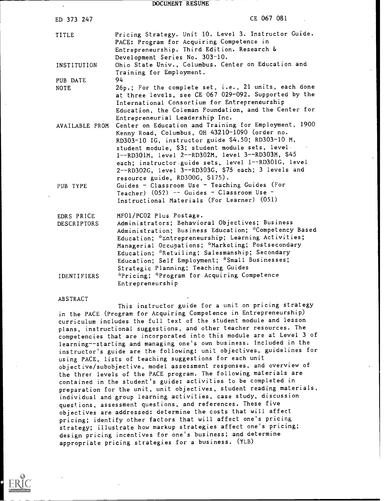DOCUMENT RESUME

| ED 373 247                                             | CE 067 081                                                                                                                                                                                                                                                                                                                                                                                                                               |
|--------------------------------------------------------|------------------------------------------------------------------------------------------------------------------------------------------------------------------------------------------------------------------------------------------------------------------------------------------------------------------------------------------------------------------------------------------------------------------------------------------|
| TITLE                                                  | Pricing Strategy. Unit 10. Level 3. Instructor Guide.<br>PACE: Program for Acquiring Competence in<br>Entrepreneurship. Third Edition. Research &<br>Development Series No. 303-10.                                                                                                                                                                                                                                                      |
| INSTITUTION                                            | Ohio State Univ., Columbus. Center on Education and<br>Training for Employment.                                                                                                                                                                                                                                                                                                                                                          |
| PUB DATE<br><b>NOTE</b>                                | 94<br>26p.; For the complete set, i.e., 21 units, each done<br>at three levels, see CE 067 029-092. Supported by the<br>International Consortium for Entrepreneurship<br>Education, the Coleman Foundation, and the Center for<br>Entrepreneurial Leadership Inc.                                                                                                                                                                        |
| AVAILABLE FROM                                         | Center on Education and Training for Employment, 1900<br>Kenny Road, Columbus, OH 43210-1090 (order no.<br>RD303-10 IG, instructor guide \$4.50; RD303-10 M,<br>student module, \$3; student module sets, level.<br>1--RD301M, level 2--RD302M, level 3--RD303M, \$45<br>each; instructor guide sets, level 1--RD301G, level<br>2--RD302G, level 3--RD303G, \$75 each; 3 levels and<br>resource guide, RD300G, \$175).                   |
| PUB TYPE                                               | Guides - Classroom Use - Teaching Guides (For<br>Teacher) (052) -- Guides - Classroom Use -<br>Instructional Materials (For Learner) (051)                                                                                                                                                                                                                                                                                               |
| EDRS PRICE<br><b>DESCRIPTORS</b><br><b>IDENTIFIERS</b> | MF01/PC02 Plus Postage.<br>Administrators; Behavioral Objectives; Business<br>Administration; Business Education; *Competency Based<br>Education; *Entrepreneurship; Learning Activities;<br>Managerial Occupations; *Marketing; Postsecondary<br>Education; *Retailing; Salesmanship; Secondary<br>Education; Self Employment; *Small Businesses;<br>Strategic Planning; Teaching Guides<br>*Pricing; *Program for Acquiring Competence |
|                                                        | Entrepreneurship                                                                                                                                                                                                                                                                                                                                                                                                                         |

#### ABSTRACT

This instructor guide for a unit on pricing strategy in the PACE (Program for Acquiring Competence in Entrepreneurship) curriculum includes the full text of the student module and lesson plans, instructional suggestions, and other teacher resources. The competencies that are incorporated into this module are at Level 3 of learning--starting and managing one's own business. Included in the instructor's guide are the following: unit objectives, guidelines for using PACE, lists of teaching suggestions for each unit objective/subobjective, model assessment responses, and overview of the three levels of the PACE program. The following materials are contained in the student's guide: activities to be completed in preparation for the unit, unit objectives, student reading materials, individual and group learning activities, case study, discussion questions, assessment questions, and references. These five objectives are addressed: determine the costs that will affect pricing; identify other factors that will affect one's pricing strategy; illustrate how markup strategies affect one's pricing; design pricing incentives for one's business; and determine appropriate pricing strategies for a business. (YLB)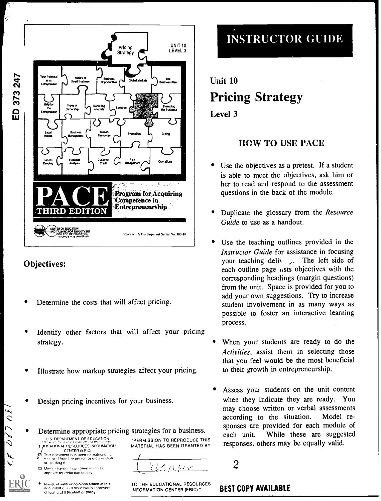

#### Objectives:

 $2070$ 

- Determine the costs that will affect pricing.
- Identify other factors that will affect your pricing strategy.
- Illustrate how markup strategies affect your pricing.
- Design pricing incentives for your business.
- Determine appropriate pricing strategies for a business. U.S. DEPARTMENT OF EDUCATION **E DUCATIONAI RESOURCES INFORMATION**<br>CENTER (ERIC)
	- CENTER (ERICi<br>document has been reproduced as .nc eiged from the person or organization .<br>pnaling it
	- **Cl.** Minor changes have been made to mpr we reproduction quality
	- Points of view or opinions stated in this<br>document Journal necessarily represent<br>official OERI position or policy

'PERMISSION TO REPRODUCE THIS MATERIAL HAS BEEN GRANTED BY

 $\lambda$ 

TO THE EDUCATIONAL RESOURCES **BEST COPY AVAILABLE** INFORMATION CENTER (ERIC)."

# INSTRUCTOR GUIDE

# Unit 10 Pricing Strategy Level 3

## HOW TO USE PACE

- Use the objectives as a pretest. If a student is able to meet the objectives, ask him or her to read and respond to the assessment questions in the back of the module.
- Duplicate the glossary from the Resource Guide to use as a handout.
- Use the teaching outlines provided in the Instructor Guide for assistance in focusing your teaching deliv, The left side of each outline page  $\mu$ sts objectives with the corresponding headings (margin questions) from the unit. Space is provided for you to add your own suggestions. Try to increase student involvement in as many ways as possible to foster an interactive learning process.
- When your students are ready to do the Activities, assist them in selecting those that you feel would be the most beneficial to their growth in entrepreneurship.
- Assess your students on the unit content when they indicate they are ready. You may choose written or verbal assessments according to the situation. Model responses are provided for each module of each unit. While these are suggested responses, others may be equally valid.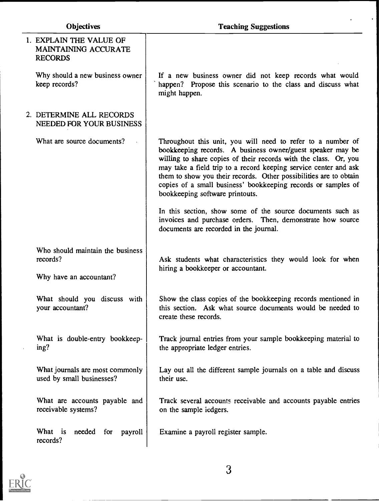$\ddot{\phantom{0}}$ 

| 1. EXPLAIN THE VALUE OF<br><b>MAINTAINING ACCURATE</b><br><b>RECORDS</b> |                                                                                                                                                                                                                                                                                                                                                                                                                                            |
|--------------------------------------------------------------------------|--------------------------------------------------------------------------------------------------------------------------------------------------------------------------------------------------------------------------------------------------------------------------------------------------------------------------------------------------------------------------------------------------------------------------------------------|
| Why should a new business owner<br>keep records?                         | If a new business owner did not keep records what would<br>happen? Propose this scenario to the class and discuss what<br>might happen.                                                                                                                                                                                                                                                                                                    |
| 2. DETERMINE ALL RECORDS<br>NEEDED FOR YOUR BUSINESS                     |                                                                                                                                                                                                                                                                                                                                                                                                                                            |
| What are source documents?                                               | Throughout this unit, you will need to refer to a number of<br>bookkeeping records. A business owner/guest speaker may be<br>willing to share copies of their records with the class. Or, you<br>may take a field trip to a record keeping service center and ask<br>them to show you their records. Other possibilities are to obtain<br>copies of a small business' bookkeeping records or samples of<br>bookkeeping software printouts. |
|                                                                          | In this section, show some of the source documents such as<br>invoices and purchase orders. Then, demonstrate how source<br>documents are recorded in the journal.                                                                                                                                                                                                                                                                         |
| Who should maintain the business<br>records?<br>Why have an accountant?  | Ask students what characteristics they would look for when<br>hiring a bookkeeper or accountant.                                                                                                                                                                                                                                                                                                                                           |
| What should you discuss with<br>your accountant?                         | Show the class copies of the bookkeeping records mentioned in<br>this section. Ask what source documents would be needed to<br>create these records.                                                                                                                                                                                                                                                                                       |
| What is double-entry bookkeep-<br>ing?                                   | Track journal entries from your sample bookkeeping material to<br>the appropriate ledger entries.                                                                                                                                                                                                                                                                                                                                          |
| What journals are most commonly<br>used by small businesses?             | Lay out all the different sample journals on a table and discuss<br>their use.                                                                                                                                                                                                                                                                                                                                                             |
| What are accounts payable and<br>receivable systems?                     | Track several accounts receivable and accounts payable entries<br>on the sample iedgers.                                                                                                                                                                                                                                                                                                                                                   |
| What is needed for<br>payroll<br>records?                                | Examine a payroll register sample.                                                                                                                                                                                                                                                                                                                                                                                                         |

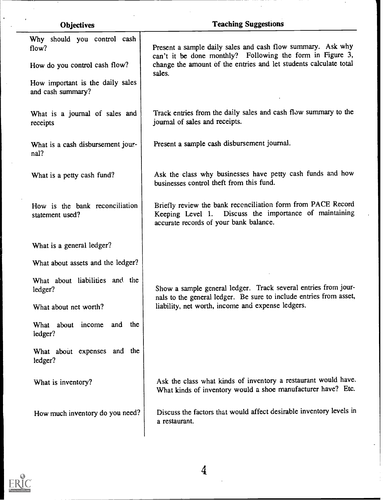| <b>Objectives</b>                                     | <b>Teaching Suggestions</b>                                                                                                                                      |
|-------------------------------------------------------|------------------------------------------------------------------------------------------------------------------------------------------------------------------|
| Why should you control cash<br>flow?                  | Present a sample daily sales and cash flow summary. Ask why<br>can't it be done monthly? Following the form in Figure 3,                                         |
| How do you control cash flow?                         | change the amount of the entries and let students calculate total                                                                                                |
| How important is the daily sales<br>and cash summary? | sales.                                                                                                                                                           |
| What is a journal of sales and<br>receipts            | Track entries from the daily sales and cash flow summary to the<br>journal of sales and receipts.                                                                |
| What is a cash disbursement jour-<br>nal?             | Present a sample cash disbursement journal.                                                                                                                      |
| What is a petty cash fund?                            | Ask the class why businesses have petty cash funds and how<br>businesses control theft from this fund.                                                           |
| How is the bank reconciliation<br>statement used?     | Briefly review the bank reconciliation form from PACE Record<br>Keeping Level 1. Discuss the importance of maintaining<br>accurate records of your bank balance. |
| What is a general ledger?                             |                                                                                                                                                                  |
| What about assets and the ledger?                     |                                                                                                                                                                  |
| What about liabilities and the<br>ledger?             | Show a sample general ledger. Track several entries from jour-<br>nals to the general ledger. Be sure to include entries from asset,                             |
| What about net worth?                                 | liability, net worth, income and expense ledgers.                                                                                                                |
| What about income<br>and<br>the<br>ledger?            |                                                                                                                                                                  |
| What about expenses and the<br>ledger?                |                                                                                                                                                                  |
| What is inventory?                                    | Ask the class what kinds of inventory a restaurant would have.<br>What kinds of inventory would a shoe manufacturer have? Etc.                                   |
| How much inventory do you need?                       | Discuss the factors that would affect desirable inventory levels in<br>a restaurant.                                                                             |
|                                                       |                                                                                                                                                                  |

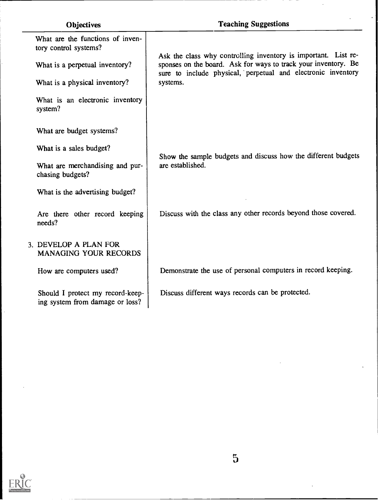| <b>Objectives</b>                                                   | <b>Teaching Suggestions</b>                                                                                                                                                                      |  |
|---------------------------------------------------------------------|--------------------------------------------------------------------------------------------------------------------------------------------------------------------------------------------------|--|
| What are the functions of inven-<br>tory control systems?           |                                                                                                                                                                                                  |  |
| What is a perpetual inventory?                                      | Ask the class why controlling inventory is important. List re-<br>sponses on the board. Ask for ways to track your inventory. Be<br>sure to include physical, perpetual and electronic inventory |  |
| What is a physical inventory?                                       | systems.                                                                                                                                                                                         |  |
| What is an electronic inventory<br>system?                          |                                                                                                                                                                                                  |  |
| What are budget systems?                                            |                                                                                                                                                                                                  |  |
| What is a sales budget?                                             | Show the sample budgets and discuss how the different budgets                                                                                                                                    |  |
| What are merchandising and pur-<br>chasing budgets?                 | are established.                                                                                                                                                                                 |  |
| What is the advertising budget?                                     |                                                                                                                                                                                                  |  |
| Are there other record keeping<br>needs?                            | Discuss with the class any other records beyond those covered.                                                                                                                                   |  |
| 3. DEVELOP A PLAN FOR<br><b>MANAGING YOUR RECORDS</b>               |                                                                                                                                                                                                  |  |
| How are computers used?                                             | Demonstrate the use of personal computers in record keeping.                                                                                                                                     |  |
| Should I protect my record-keep-<br>ing system from damage or loss? | Discuss different ways records can be protected.                                                                                                                                                 |  |

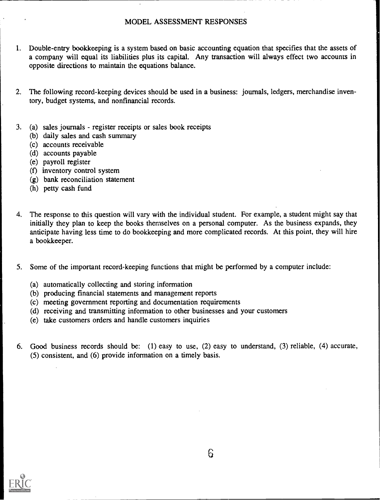#### MODEL ASSESSMENT RESPONSES

- 1. Double-entry bookkeeping is a system based on basic accounting equation that specifies that the assets of a company will equal its liabilities plus its capital. Any transaction will always effect two accounts in opposite directions to maintain the equations balance.
- 2. The following record-keeping devices should be used in a business: journals, ledgers, merchandise inventory, budget systems, and nonfinancial records.
- 3. (a) sales journals register receipts or sales book receipts
	- (b) daily sales and cash summary
	- (c) accounts receivable
	- (d) accounts payable
	- (e) payroll register
	- (f) inventory control system
	- (g) bank reconciliation statement
	- (h) petty cash fund
- 4. The response to this question will vary with the individual student. For example, a student might say that initially they plan to keep the books themselves on a personal computer. As the business expands, they anticipate having less time to do bookkeeping and more complicated records. At this point, they will hire a bookkeeper.
- 5. Some of the important record-keeping functions that might be performed by a computer include:
	- (a) automatically collecting and storing information
	- (b) producing financial statements and management reports
	- (c) meeting government reporting and documentation requirements
	- (d) receiving and transmitting information to other businesses and your customers
	- (e) take customers orders and handle customers inquiries
- 6. Good business records should be: (1) easy to use, (2) easy to understand, (3) reliable, (4) accurate, (5) consistent, and (6) provide information on a timely basis.

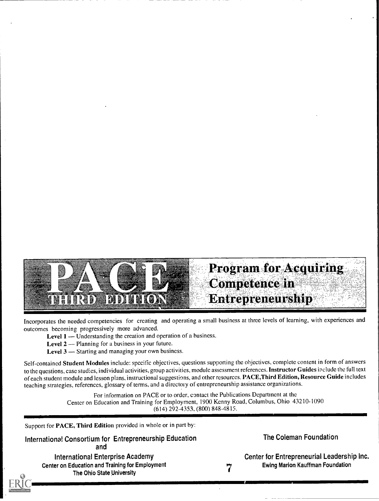

Incorporates the needed competencies for creating and operating a small business at three levels of learning, with experiences and outcomes becoming progressively more advanced.

**Level 1** — Understanding the creation and operation of a business.

Level  $2$  — Planning for a business in your future.

Level  $3$  — Starting and managing your own business.

Self-contained Student Modules include: specific objectives, questions supporting the objectives, complete content in form of answers to the questions, case studies, individual activities, group activities, module assessment references. Instructor Guides include the full text of each student module and lesson plans, instructional suggestions, and other resources. PACE, Third Edition, Resource Guide includes teaching strategies, references, glossary of terms, and a directory of entrepreneurship assistance organizations.

> For information on PACE or to order, contact the Publications Department at the Center on Education and Training for Employment, 1900 Kenny Road, Columbus, Ohio 43210-1090 (614) 292-4353, (800) 848-4815.

Support for PACE, Third Edition provided in whole or in part by:

International Consortium for Entrepreneurship Education and

International Enterprise Academy Center on Education and Training for Employment The Ohio State University 7

The Coleman Foundation

Center for Entrepreneurial Leadership Inc. Ewing Marion Kauffman Foundation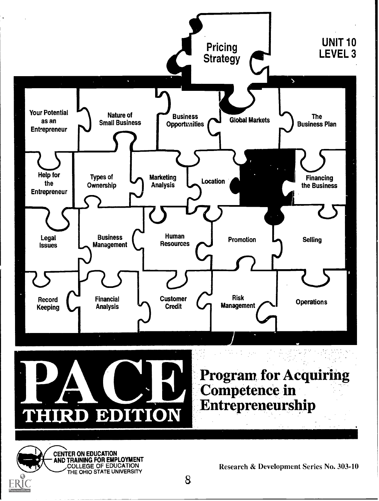



CENTER ON EDUCATION AND TRAINING FOR EMPLOYMENT COLLEGE OF EDUCATION

Research & Development Series No. 303-10<br>8

Program for Acquiring

**Competence in** 

Entrepreneurship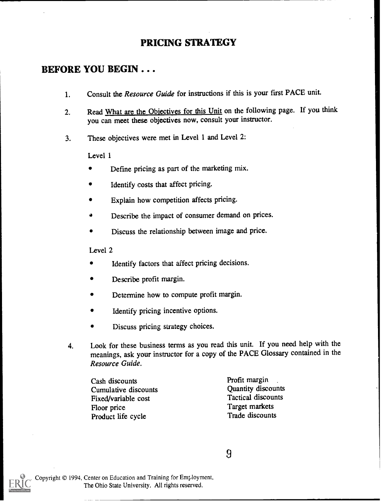## PRICING STRATEGY

#### BEFORE YOU BEGIN . . .

- 1. Consult the Resource Guide for instructions if this is your first PACE unit.
- 2. Read What are the Objectives for this Unit on the following page. If you think you can meet these objectives now, consult your instructor.
- 3. These objectives were met in Level 1 and Level 2:

Level 1

- Define pricing as part of the marketing mix.  $\bullet$
- Identify costs that affect pricing.
- Explain how competition affects pricing.  $\bullet$
- Describe the impact of consumer demand on prices.
- Discuss the relationship between image and price.

Level 2

- Identify factors that affect pricing decisions.
- Describe profit margin.
- Determine how to compute profit margin.
- Identify pricing incentive options.
- Discuss pricing strategy choices.
- 4. Look for these business terms as you read this unit. If you need help with the meanings, ask your instructor for a copy of the PACE Glossary contained in the Resource Guide.

Cash discounts Cumulative discounts Fixed/variable cost Floor price Product life cycle

Profit margin Quantity discounts Tactical discounts Target markets Trade discounts



Copyright © 1994, Center on Education and Training for Employment, The Ohio State University. All rights reserved.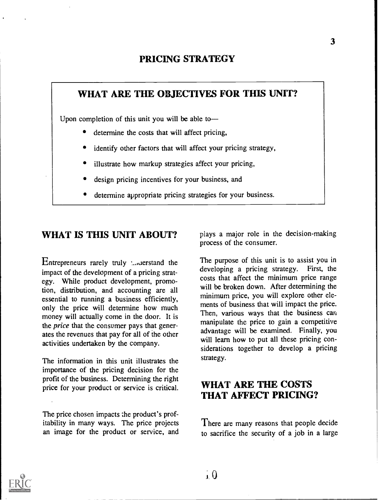#### PRICING STRATEGY

#### WHAT ARE THE OBJECTIVES FOR THIS UNIT?

Upon completion of this unit you will be able to

- determine the costs that will affect pricing,
- identify other factors that will affect your pricing strategy,
- illustrate how markup strategies affect your pricing,
- design pricing incentives for your business, and
- determine appropriate pricing strategies for your business.

#### WHAT IS THIS UNIT ABOUT?

Entrepreneurs rarely truly  $\Box$  derstand the impact of the development of a pricing strategy. While product development, promotion, distribution, and accounting are all essential to running a business efficiently, only the price will determine how much money will actually come in the door. It is the *price* that the consumer pays that generates the revenues that pay for all of the other activities undertaken by the company.

The information in this unit illustrates the importance of the pricing decision for the profit of the business. Determining the right price for your product or service is critical.

The price chosen impacts the product's profitability in many ways. The price projects an image for the product or service, and plays a major role in the decision-making process of the consumer.

The purpose of this unit is to assist you in developing a pricing strategy. First, the developing a pricing strategy. costs that affect the minimum price range will be broken down. After determining the minimum price, you will explore other elements of business that will impact the price. Then, various ways that the business can manipulate the price to gain a competitive advantage will be examined. Finally, you will learn how to put all these pricing considerations together to develop a pricing strategy.

#### WHAT ARE THE COSTS THAT AFFECT PRICING?

There are many reasons that people decide to sacrifice the security of a job in a large

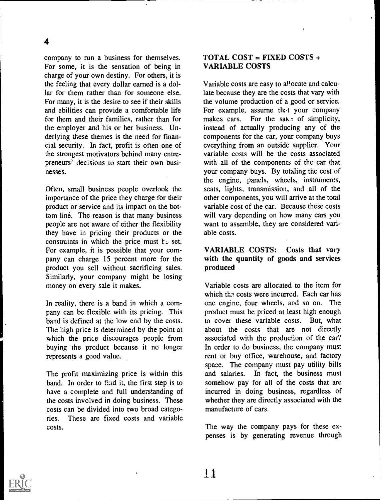company to run a business for themselves. For some, it is the sensation of being in charge of your own destiny. For others, it is the feeling that every dollar earned is a dollar for them rather than for someone else. For many, it is the lesire to see if their skills and abilities can provide a comfortable life for them and their families, rather than for the employer and his or her business. Underlying these themes is the need for financial security. In fact, profit is often one of the strongest motivators behind many entrepreneurs' decisions to start their own businesses.

Often, small business people overlook the importance of the price they charge for their product or service and its impact on the bottom line. The reason is that many business people are not aware of either the flexibility they have in pricing their products or the constraints in which the price must  $t \circ$  set. For example, it is possible that your company can charge 15 percent more for the product you sell without sacrificing sales. Similarly, your company might be losing money on every sale it makes.

In reality, there is a band in which a company can be flexible with its pricing. This band is defined at the low end by the costs. The high price is determined by the point at which the price discourages people from buying the product because it no longer represents a good value.

The profit maximizing price is within this band. In order to find it, the first step is to have a complete and full understanding of the costs involved in doing business. These costs can be divided into two broad categories. These are fixed costs and variable costs.

#### TOTAL COST = FIXED COSTS + VARIABLE COSTS

Variable costs are easy to al'ocate and calculate because they are the costs that vary with the volume production of a good or service. For example, assume that your company makes cars. For the sake of simplicity, instead of actually producing any of the components for the car, your company buys everything from an outside supplier. Your variable costs will be the costs associated with all of the components of the car that your company buys. By totaling the cost of the engine, panels, wheels, instruments, seats, lights, transmission, and all of the other components, you will arrive at the total variable cost of the car. Because these costs will vary depending on how many cars you want to assemble, they are considered variable costs.

#### VARIABLE COSTS: Costs that vary with the quantity of goods and services produced

Variable costs are allocated to the item for which the costs were incurred. Each car has one engine, four wheels, and so on. The product must be priced at least high enough to cover these variable costs. But, what about the costs that are not directly associated with the production of the car? In order to do business, the company must rent or buy office, warehouse, and factory space. The company must pay utility bills and salaries. In fact, the business must somehow pay for all of the costs that are incurred in doing business, regardless of whether they are directly associated with the manufacture of cars.

The way the company pays for these expenses is by generating revenue through

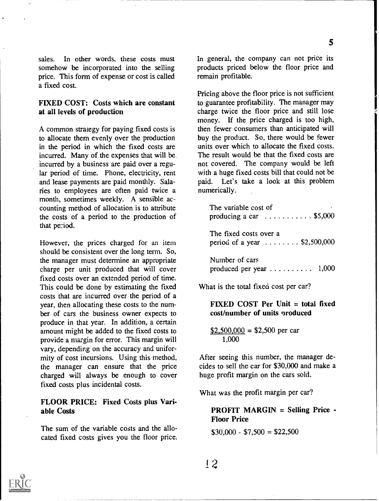sales. In other words, these costs must somehow be incorporated into the selling price. This form of expense or cost is called a fixed cost.

#### FIXED COST: Costs which are constant at all levels of production

A common strategy for paying fixed costs is to allocate them evenly over the production in the period in which the fixed costs are incurred. Many of the expenses that will be incurred by a business are paid over a regular period of time. Phone, electricity, rent and lease payments are paid monthly. Salaries to employees are often paid twice a month, sometimes weekly. A sensible accounting method of allocation is to attribute the costs of a period to the production of that period.

However, the prices charged for an item should be consistent over the long term. So, the manager must determine an appropriate charge per unit produced that will cover fixed costs over an extended period of time. This could be done by estimating the fixed costs that are incurred over the period of a year, then allocating these costs to the number of cars the business owner expects to produce in that year. In addition, a certain amount might be added to the fixed costs to provide a margin for error. This margin will vary, depending on the accuracy and uniformity of cost incursions. Using this method, the manager can ensure that the price charged will always be enough to cover fixed costs plus incidental costs.

#### FLOOR PRICE: Fixed Costs plus Variable Costs

The sum of the variable costs and the allocated fixed costs gives you the floor price. In general, the company can not price its products priced below the floor price and remain profitable.

Pricing above the floor price is not sufficient to guarantee profitability. The manager may charge twice the floor price and still lose money. If the price charged is too high, then fewer consumers than anticipated will buy the product. So, there would be fewer units over which to allocate the fixed costs. The result would be that the fixed costs are not covered. The company would be left with a huge fixed costs bill that could not be paid. Let's take a look at this problem numerically.

| The variable cost of<br>producing a car $\ldots \ldots \ldots$ \$5,000 |  |  |
|------------------------------------------------------------------------|--|--|
| The fixed costs over a<br>period of a year $\ldots \ldots$ \$2,500,000 |  |  |
| Number of cars<br>produced per year $\dots \dots \dots \dots$ 1,000    |  |  |

What is the total fixed cost per car?

#### FIXED COST Per Unit = total fixed cost/number of units produced

 $$2,500,000 = $2,500$  per car 1,000

After seeing this number, the manager decides to sell the car for \$30,000 and make a huge profit margin on the cars sold.

What was the profit margin per car?

#### PROFIT MARGIN = Selling Price - Floor Price

 $$30,000 - $7,500 = $22,500$ 

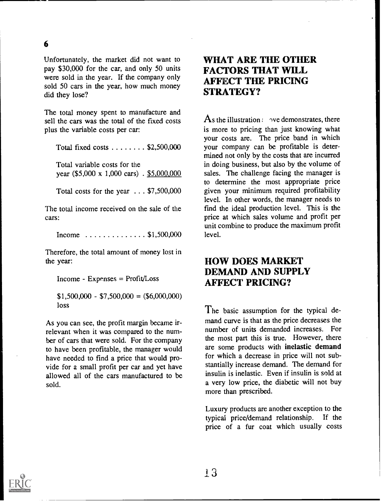#### 6

Unfortunately, the market did not want to pay \$30,000 for the car, and only 50 units were sold in the year. If the company only sold 50 cars in the year, how much money did they lose?

The total money spent to manufacture and sell the cars was the total of the fixed costs plus the variable costs per car:

Total fixed costs  $\ldots \ldots$  \$2,500,000

Total variable costs for the year (\$5,000 x 1,000 cars) . \$5,000,000

Total costs for the year . . . \$7,500,000

The total income received on the sale of the cars:

Income  $\ldots \ldots \ldots \ldots$  \$1,500,000

Therefore, the total amount of money lost in the year:

Income - Expenses = Profit/Loss

 $$1,500,000 - $7,500,000 = ($6,000,000)$ loss

As you can see, the profit margin became irrelevant when it was compared to the number of cars that were sold. For the company to have been profitable, the manager would have needed to find a price that would provide for a small profit per car and yet have allowed all of the cars manufactured to be sold.

## WHAT ARE THE OTHER FACTORS THAT WILL AFFECT THE PRICING STRATEGY?

As the illustration  $\sim$   $\gamma$  demonstrates, there is more to pricing than just knowing what your costs are. The price band in which your company can be profitable is determined not only by the costs that are incurred in doing business, but also by the volume of sales. The challenge facing the manager is to determine the most appropriate price given your minimum required profitability level. In other words, the manager needs to find the ideal production level. This is the price at which sales volume and profit per unit combine to produce the maximum profit level.

## HOW DOES MARKET DEMAND AND SUPPLY AFFECT PRICING?

The basic assumption for the typical demand curve is that as the price decreases the number of units demanded increases. For the most part this is true. However, there are some products with inelastic demand for which a decrease in price will not substantially increase demand. The demand for insulin is inelastic. Even if insulin is sold at a very low price, the diabetic will not buy more than prescribed.

Luxury products are another exception to the typical price/demand relationship. If the price of a fur coat which usually costs

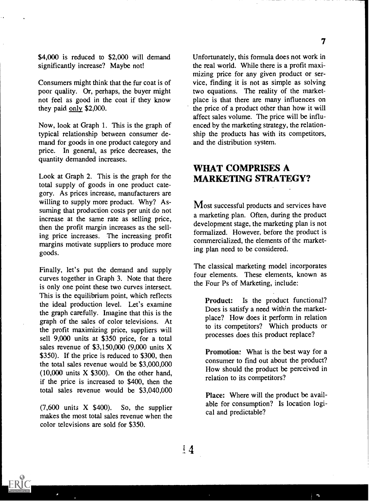\$4,000 is reduced to \$2,000 will demand significantly increase? Maybe not!

Consumers might think that the fur coat is of poor quality. Or, perhaps, the buyer might not feel as good in the coat if they know they paid only \$2,000.

Now, look at Graph 1. This is the graph of typical relationship between consumer demand for goods in one product category and price. In general, as price decreases, the quantity demanded increases.

Look at Graph 2. This is the graph for the total supply of goods in one product category. As prices increase, manufacturers are willing to supply more product. Why? Assuming that production costs per unit do not increase at the same rate as selling price, then the profit margin increases as the selling price increases. The increasing profit margins motivate suppliers to produce more goods.

Finally, let's put the demand and supply curves together in Graph 3. Note that there is only one point these two curves intersect. This is the equilibrium point, which reflects the ideal production level. Let's examine the graph carefully. Imagine that this is the graph of the sales of color televisions. At the profit maximizing price, suppliers will sell 9,000 units at \$350 price, for a total sales revenue of \$3,150,000 (9,000 units X \$350). If the price is reduced to \$300, then the total sales revenue would be \$3,000,000  $(10,000)$  units X \$300). On the other hand, if the price is increased to \$400, then the total sales revenue would be \$3,040,000

 $(7,600)$  units X \$400). So, the supplier makes the most total sales revenue when the color televisions are sold for \$350.

Unfortunately, this formula does not work in the real world. While there is a profit maximizing price for any given product or service, finding it is not as simple as solving two equations. The reality of the marketplace is that there are many influences on the price of a product other than how it will affect sales volume. The price will be influenced by the marketing strategy, the relationship the products has with its competitors, and the distribution system.

#### WHAT COMPRISES A MARKETING STRATEGY?

Most successful products and services have a marketing plan. Often, during the product development stage, the marketing plan is not formalized. However, before the product is commercialized, the elements of the marketing plan need to be considered.

The classical marketing model incorporates four elements. These elements, known as the Four Ps of Marketing, include:

Product: Is the product functional? Does is satisfy a need within the marketplace? How does it perform in relation to its competitors? Which products or processes does this product replace?

Promotion: What is the best way for a consumer to find out about the product? How should the product be perceived in relation to its competitors?

Place: Where will the product be available for consumption? Is location logical and predictable?

 $\overline{\phantom{a}}$ 



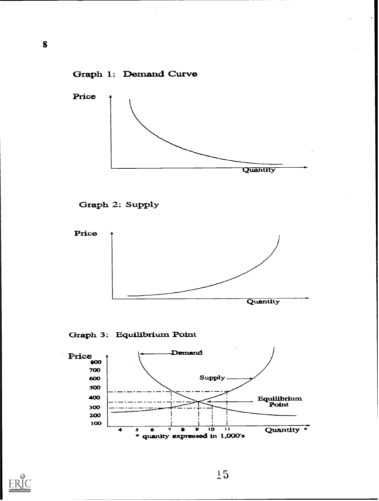











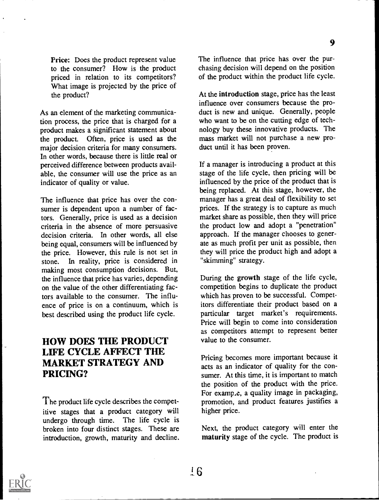Price: Does the product represent value to the consumer? How is the product priced in relation to its competitors? What image is projected by the price of the product?

As an element of the marketing communication process, the price that is charged for a product makes a significant statement about the product. Often, price is used as the major decision criteria for many consumers. In other words, because there is little real or perceived difference between products available, the consumer will use the price as an indicator of quality or value.

The influence that price has over the consumer is dependent upon a number of factors. Generally, price is used as a decision criteria in the absence of more persuasive decision criteria. In other words, all else being equal, consumers will be influenced by the price. However, this rule is not set in stone. In reality, price is considered in making most consumption decisions. But, the influence that price has varies, depending on the value of the other differentiating factors available to the consumer. The influence of price is on a continuum, which is best described using the product life cycle.

## HOW DOES THE PRODUCT LIFE CYCLE AFFECT THE MARKET STRATEGY AND PRICING?

The product life cycle describes the competitive stages that a product category will undergo through time. The life cycle is broken into four distinct stages. These are introduction, growth, maturity and decline.

The influence that price has over the purchasing decision will depend on the position of the product within the product life cycle.

At the introduction stage, price has the least influence over consumers because the product is new and unique. Generally, people who want to be on the cutting edge of technology buy these innovative products. The mass market will not purchase a new product until it has been proven.

If a manager is introducing a product at this stage of the life cycle, then pricing will be influenced by the price of the product that is being replaced. At this stage, however, the manager has a great deal of flexibility to set prices. If the strategy is to capture as much market share as possible, then they will price the product low and adopt a "penetration" approach. If the manager chooses to generate as much profit per unit as possible, then they will price the product high and adopt a "skimming" strategy.

During the growth stage of the life cycle, competition begins to duplicate the product which has proven to be successful. Competitors differentiate their product based on a particular target market's requirements. Price will begin to come into consideration as competitors attempt to represent better value to the consumer.

Pricing becomes more important because it acts as an indicator of quality for the consumer. At this time, it is important to match the position of the product with the price. For examp.e, a quality image in packaging, promotion, and product features justifies a higher price.

Next, the product category will enter the maturity stage of the cycle. The product is

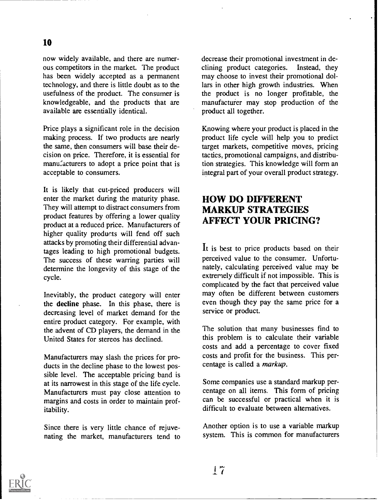now widely available, and there are numerous competitors in the market. The product has been widely accepted as a permanent technology, and there is little doubt as to the usefulness of the product. The consumer is knowledgeable, and the products that are available are essentially identical.

Price plays a significant role in the decision making process. If two products are nearly the same, then consumers will base their decision on price. Therefore, it is essential for manufacturers to adopt a price point that is acceptable to consumers.

It is likely that cut-priced producers will enter the market during the maturity phase. They will attempt to distract consumers from product features by offering a lower quality product at a reduced price. Manufacturers of higher quality products will fend off such attacks by promoting their differential advantages leading to high promotional budgets. The success of these warring parties will determine the longevity of this stage of the cycle.

Inevitably, the product category will enter the decline phase. In this phase, there is decreasing level of market demand for the entire product category. For example, with the advent of CD players, the demand in the United States for stereos has declined.

Manufacturers may slash the prices for products in the decline phase to the lowest possible level. The acceptable pricing band is at its narrowest in this stage of the life cycle. Manufacturers must pay close attention to margins and costs in order to maintain profitability.

Since there is very little chance of rejuvenating the market, manufacturers tend to

decrease their promotional investment in declining product categories. Instead, they may choose to invest their promotional dollars in other high growth industries. When the product is no longer profitable, the manufacturer may stop production of the product all together.

Knowing where your product is placed in the product life cycle will help you to predict target markets, competitive moves, pricing tactics, promotional campaigns, and distribution strategies. This knowledge will form an integral part of your overall product strategy.

## HOW DO DIFFERENT MARKUP STRATEGIES AFFECT YOUR PRICING?

It is best to price products based on their perceived value to the consumer. Unfortunately, calculating perceived value may be extremely difficult if not impossible. This is complicated by the fact that perceived value may often be different between customers even though they pay the same price for a service or product.

The solution that many businesses find to this problem is to calculate their variable costs and add a percentage to cover fixed costs and profit for the business. This percentage is called a markup.

Some companies use a standard markup percentage on all items. This form of pricing can be successful or practical when it is difficult to evaluate between alternatives.

Another option is to use a variable markup system. This is common for manufacturers

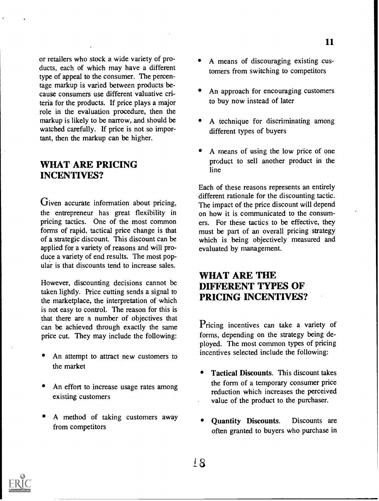or retailers who stock a wide variety of products, each of which may have a different type of appeal to the consumer. The percentage markup is varied between products because consumers use different valuative criteria for the products. If price plays a major role in the evaluation procedure, then the markup is likely to be narrow, and should be watched carefully. If price is not so important, then the markup can be higher.

#### WHAT ARE PRICING INCENTIVES?

Given accurate information about pricing, the entrepreneur has great flexibility in pricing tactics. One of the most common forms of rapid, tactical price change is that of a strategic discount. This discount can be applied for a variety of reasons and will produce a variety of end results. The most popular is that discounts tend to increase sales.

However, discounting decisions cannot be taken lightly. Price cutting sends a signal to the marketplace, the interpretation of which is not easy to control. The reason for this is that there are a number of objectives that can be achieved through exactly the same price cut. They may include the following:

- An attempt to attract new customers to the market
- An effort to increase usage rates among existing customers
- A method of taking customers away from competitors
- A means of discouraging existing customers from switching to competitors
- An approach for encouraging customers to buy now instead of later
- A technique for discriminating among different types of buyers
- A means of using the low price of one product to sell another product in the line

Each of these reasons represents an entirely different rationale for the discounting tactic. The impact of the price discount will depend on how it is communicated to the consumers. For these tactics to be effective, they must be part of an overall pricing strategy which is being objectively measured and evaluated by management.

#### WHAT ARE THE DIFFERENT TYPES OF PRICING INCENTIVES?

Pricing incentives can take a variety of forms, depending on the strategy being deployed. The most common types of pricing incentives selected include the following:

- Tactical Discounts. This discount takes the form of a temporary consumer price reduction which increases the perceived value of the product to the purchaser.
- Quantity Discounts. Discounts are often granted to buyers who purchase in

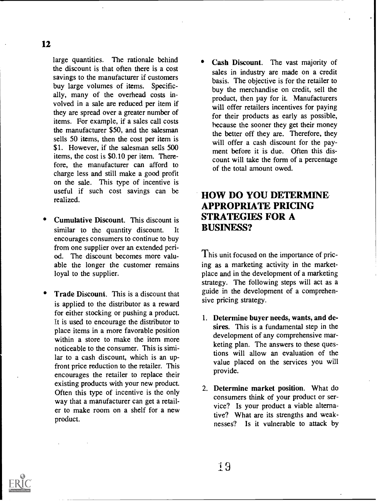large quantities. The rationale behind the discount is that often there is a cost savings to the manufacturer if customers buy large volumes of items. Specifically, many of the overhead costs involved in a sale are reduced per item if they are spread over a greater number of items. For example, if a sales call costs the manufacturer \$50, and the salesman sells 50 items, then the cost per item is \$1. However, if the salesman sells 500 items, the cost is \$0.10 per item. Therefore, the manufacturer can afford to charge less and still make a good profit on the sale. This type of incentive is useful if such cost savings can be realized.

- Cumulative Discount. This discount is similar to the quantity discount. It encourages consumers to continue to buy from one supplier over an extended period. The discount becomes more valuable the longer the customer remains loyal to the supplier.
- Trade Discount. This is a discount that is applied to the distributor as a reward for either stocking or pushing a product. It is used to encourage the distributor to place items in a more favorable position within a store to make the item more noticeable to the consumer. This is similar to a cash discount, which is an upfront price reduction to the retailer. This encourages the retailer to replace their existing products with your new product. Often this type of incentive is the only way that a manufacturer can get a retailer to make room on a shelf for a new product.

Cash Discount. The vast majority of sales in industry are made on a credit basis. The objective is for the retailer to buy the merchandise on credit, sell the product, then pay for it. Manufacturers will offer retailers incentives for paying for their products as early as possible, because the sooner they get their money the better off they are. Therefore, they will offer a cash discount for the payment before it is due. Often this discount will take the form of a percentage of the total amount owed.

## HOW DO YOU DETERMINE APPROPRIATE PRICING STRATEGIES FOR A BUSINESS?

This unit focused on the importance of pricing as a marketing activity in the marketplace and in the development of a marketing strategy. The following steps will act as a guide in the development of a comprehensive pricing strategy.

- 1. Determine buyer needs, wants, and desires. This is a fundamental step in the development of any comprehensive marketing plan. The answers to these questions will allow an evaluation of the value placed on the services you will provide.
- 2. Determine market position. What do consumers think of your product or service? Is your product a viable alternative? What are its strengths and weaknesses? Is it vulnerable to attack by

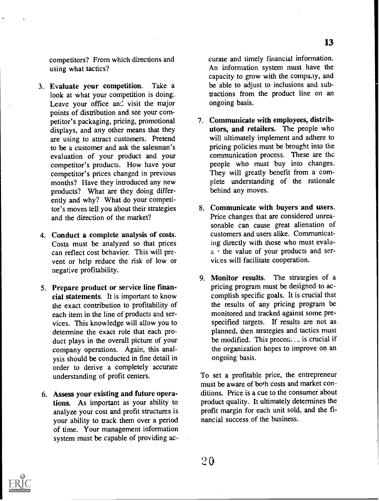competitors? From which directions and using what tactics?

- 3. Evaluate your competition. Take a look at what your competition is doing. Leave your office and visit the major points of distribution and see your competitor's packaging, pricing, promotional displays, and any other means that they are using to attract customers. Pretend to be a customer and ask the salesman's evaluation of your product and your competitor's products. How have your competitor's prices changed in previous months? Have they introduced any new products? What are they doing differently and why? What do your competitor's moves tell you about their strategies and the direction of the market?
- 4. Conduct a complete analysis of costs. Costs must be analyzed so that prices can reflect cost behavior. This will prevent or help reduce the risk of low or negative profitability.
- 5. Prepare product or service line financial statements. It is important to know the exact contribution to profitability of each item in the line of products and services. This knowledge will allow you to determine the exact role that each product plays in the overall picture of your company operations. Again, this analysis should be conducted in fine detail in order to derive a completely accurate understanding of profit centers.
- 6. Assess your existing and future operations. As important as your ability to analyze your cost and profit structures is your ability to track them over a period of time. Your management information system must be capable of providing ac-

curate and timely financial information. An information system must have the capacity to grow with the company, and be able to adjust to inclusions and subtractions from the product line on an ongoing basis.

- 7. Communicate with employees, distributors, and retailers. The people who will ultimately implement and adhere to pricing policies must be brought into the communication process. These are the people who must buy into changes. They will greatly benefit from a complete understanding of the rationale behind any moves.
- 8. Communicate with buyers and users. Price changes that are considered unreasonable can cause great alienation of customers and users alike. Communicating directly with those who must evalua. the value of your products and services will facilitate cooperation.
- 9. Monitor results. The strategies of a pricing program must be designed to accomplish specific goals. It is crucial that the results of any pricing program be monitored and tracked against some prespecified targets. If results are not as planned, then strategies and tactics must be modified. This proceding is crucial if the organization hopes to improve on an ongoing basis.

To set a profitable price, the entrepreneur must be aware of both costs and market conditions. Price is a cue to the consumer about product quality. It ultimately determines the profit margin for each unit sold, and the financial success of the business.

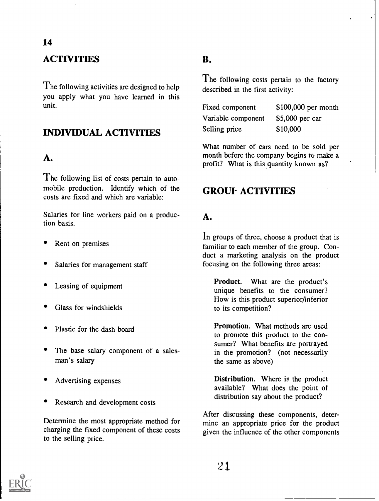## **ACTIVITIES**

The following activities are designed to help you apply what you have learned in this unit.

#### INDIVIDUAL ACTIVITIES

#### A.

The following list of costs pertain to automobile production. Identify which of the costs are fixed and which are variable:

Salaries for line workers paid on a production basis.

- Rent on premises
- Salaries for management staff
- Leasing of equipment
- Glass for windshields
- Plastic for the dash board
- The base salary component of a salesman's salary
- Advertising expenses
- Research and development costs

Determine the most appropriate method for charging the fixed component of these costs to the selling price.

#### B.

The following costs pertain to the factory described in the first activity:

| Fixed component    | $$100,000$ per month |
|--------------------|----------------------|
| Variable component | $$5,000$ per car     |
| Selling price      | \$10,000             |

What number of cars need to be sold per month before the company begins to make a profit? What is this quantity known as?

#### **GROUF ACTIVITIES**

#### A.

In groups of three, choose a product that is familiar to each member of the group. Conduct a marketing analysis on the product focusing on the following three areas:

Product. What are the product's unique benefits to the consumer? How is this product superior/inferior to its competition?

Promotion. What methods are used to promote this product to the consumer? What benefits are portrayed in the promotion? (not necessarily the same as above)

Distribution. Where is the product available? What does the point of distribution say about the product?

After discussing these components, determine an appropriate price for the product given the influence of the other components

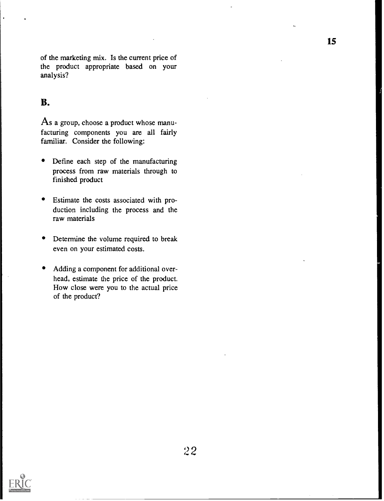of the marketing mix. Is the current price of the product appropriate based on your analysis?

#### B.

As a group, choose a product whose manufacturing components you are all fairly familiar. Consider the following:

- $\bullet$ Define each step of the manufacturing process from raw materials through to finished product
- Estimate the costs associated with production including the process and the raw materials
- Determine the volume required to break even on your estimated costs.
- Adding a component for additional overhead, estimate the price of the product. How close were you to the actual price of the product?

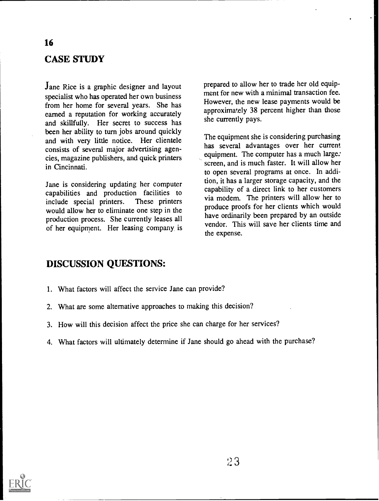## CASE STUDY

Jane Rice is a graphic designer and layout specialist who has operated her own business from her home for several years. She has earned a reputation for working accurately and skillfully. Her secret to success has been her ability to turn jobs around quickly and with very little notice. Her clientele consists of several major advertising agencies, magazine publishers, and quick printers in Cincinnati.

Jane is considering updating her computer capabilities and production facilities to include special printers. These printers include special printers. would allow her to eliminate one step in the production process. She currently leases all of her equipment. Her leasing company, is prepared to allow her to trade her old equipment for new with a minimal transaction fee. However, the new lease payments would be approximately 38 percent higher than those she currently pays.

The equipment she is considering purchasing has several advantages over her current equipment. The computer has a much large: screen, and is much faster. It will allow her to open several programs at once. In addition, it has a larger storage capacity, and the capability of a direct link to her customers via modem. The printers will allow her to produce proofs for her clients which would have ordinarily been prepared by an outside vendor. This will save her clients time and the expense.

#### DISCUSSION QUESTIONS:

- 1. What factors will affect the service Jane can provide?
- 2. What are some alternative approaches to making this decision?
- 3. How will this decision affect the price she can charge for her services?
- 4. What factors will ultimately determine if Jane should go ahead with the purchase?

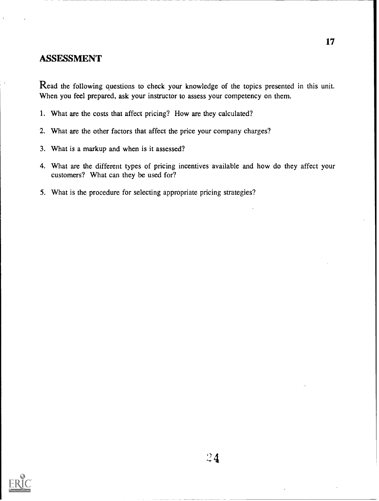#### ASSESSMENT

Read the following questions to check your knowledge of the topics presented in this unit. When you feel prepared, ask your instructor to assess your competency on them.

- 1. What are the costs that affect pricing? How are they calculated?
- 2. What are the other factors that affect the price your company charges?
- 3. What is a markup and when is it assessed?
- 4. What are the different types of pricing incentives available and how do they affect your customers? What can they be used for?
- 5. What is the procedure for selecting appropriate pricing strategies?

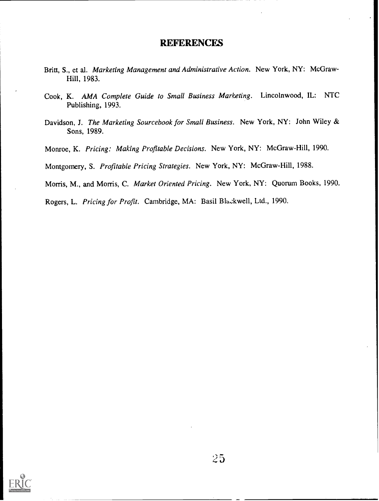#### **REFERENCES**

- Britt, S., et al. Marketing Management and Administrative Action. New York, NY: McGraw-Hill, 1983.
- Cook, K. AMA Complete Guide to Small Business Marketing. Lincolnwood, IL: NTC Publishing, 1993.
- Davidson, J. The Marketing Sourcebook for Small Business. New York, NY: John Wiley & Sons, 1989.
- Monroe, K. Pricing: Making Profitable Decisions. New York, NY: McGraw-Hill, 1990.

Montgomery, S. Profitable Pricing Strategies. New York, NY: McGraw-Hill, 1988.

Morris, M., and Morris, C. Market Oriented Pricing. New York, NY: Quorum Books, 1990.

Rogers, L. Pricing for Profit. Cambridge, MA: Basil Blackwell, Ltd., 1990.